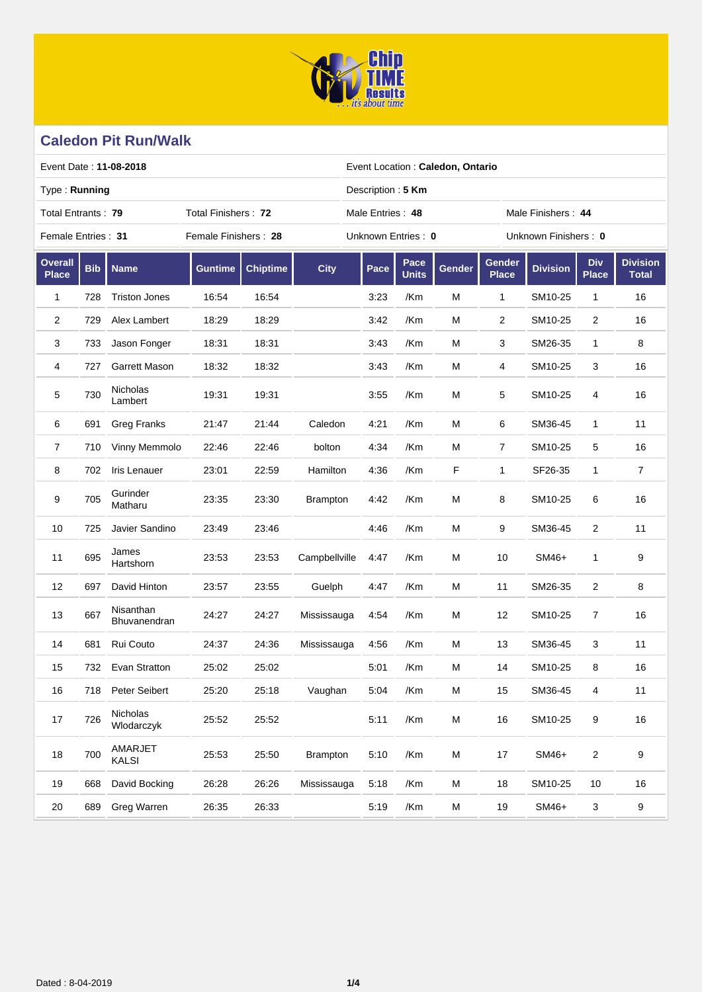

| Event Date: 11-08-2018                    |            |                           |                      |                 |                 |                    | Event Location: Caledon, Ontario       |        |                        |                 |                            |                                 |  |  |  |
|-------------------------------------------|------------|---------------------------|----------------------|-----------------|-----------------|--------------------|----------------------------------------|--------|------------------------|-----------------|----------------------------|---------------------------------|--|--|--|
| Type: Running                             |            |                           |                      |                 |                 | Description: 5 Km  |                                        |        |                        |                 |                            |                                 |  |  |  |
| Total Entrants: 79<br>Total Finishers: 72 |            |                           |                      |                 |                 |                    | Male Entries: 48<br>Male Finishers: 44 |        |                        |                 |                            |                                 |  |  |  |
| Female Entries: 31                        |            |                           | Female Finishers: 28 |                 |                 | Unknown Entries: 0 |                                        |        | Unknown Finishers: 0   |                 |                            |                                 |  |  |  |
| <b>Overall</b><br><b>Place</b>            | <b>Bib</b> | <b>Name</b>               | <b>Guntime</b>       | <b>Chiptime</b> | <b>City</b>     | Pace               | Pace<br><b>Units</b>                   | Gender | Gender<br><b>Place</b> | <b>Division</b> | <b>Div</b><br><b>Place</b> | <b>Division</b><br><b>Total</b> |  |  |  |
| 1                                         | 728        | <b>Triston Jones</b>      | 16:54                | 16:54           |                 | 3:23               | /Km                                    | M      | 1                      | SM10-25         | $\mathbf{1}$               | 16                              |  |  |  |
| 2                                         | 729        | Alex Lambert              | 18:29                | 18:29           |                 | 3:42               | /Km                                    | M      | $\overline{2}$         | SM10-25         | $\overline{c}$             | 16                              |  |  |  |
| 3                                         | 733        | Jason Fonger              | 18:31                | 18:31           |                 | 3:43               | /Km                                    | M      | 3                      | SM26-35         | $\mathbf{1}$               | 8                               |  |  |  |
| 4                                         | 727        | <b>Garrett Mason</b>      | 18:32                | 18:32           |                 | 3:43               | /Km                                    | M      | 4                      | SM10-25         | 3                          | 16                              |  |  |  |
| 5                                         | 730        | Nicholas<br>Lambert       | 19:31                | 19:31           |                 | 3:55               | /Km                                    | M      | 5                      | SM10-25         | 4                          | 16                              |  |  |  |
| 6                                         | 691        | <b>Greg Franks</b>        | 21:47                | 21:44           | Caledon         | 4:21               | /Km                                    | M      | 6                      | SM36-45         | $\mathbf{1}$               | 11                              |  |  |  |
| $\overline{7}$                            | 710        | Vinny Memmolo             | 22:46                | 22:46           | bolton          | 4:34               | /Km                                    | м      | 7                      | SM10-25         | 5                          | 16                              |  |  |  |
| 8                                         | 702        | Iris Lenauer              | 23:01                | 22:59           | Hamilton        | 4:36               | /Km                                    | F.     | 1                      | SF26-35         | $\mathbf{1}$               | $\overline{7}$                  |  |  |  |
| 9                                         | 705        | Gurinder<br>Matharu       | 23:35                | 23:30           | <b>Brampton</b> | 4:42               | /Km                                    | M      | 8                      | SM10-25         | 6                          | 16                              |  |  |  |
| 10                                        | 725        | Javier Sandino            | 23:49                | 23:46           |                 | 4:46               | /Km                                    | M      | 9                      | SM36-45         | $\overline{2}$             | 11                              |  |  |  |
| 11                                        | 695        | James<br>Hartshorn        | 23:53                | 23:53           | Campbellville   | 4:47               | /Km                                    | M      | 10                     | SM46+           | 1                          | 9                               |  |  |  |
| 12                                        | 697        | David Hinton              | 23:57                | 23:55           | Guelph          | 4:47               | /Km                                    | M      | 11                     | SM26-35         | 2                          | 8                               |  |  |  |
| 13                                        | 667        | Nisanthan<br>Bhuvanendran | 24:27                | 24:27           | Mississauga     | 4:54               | /Km                                    | M      | 12                     | SM10-25         | 7                          | 16                              |  |  |  |
| 14                                        | 681        | Rui Couto                 | 24:37                | 24:36           | Mississauga     | 4:56               | /Km                                    | M      | 13                     | SM36-45         | 3                          | 11                              |  |  |  |
| 15                                        | 732        | Evan Stratton             | 25:02                | 25:02           |                 | 5:01               | /Km                                    | M      | 14                     | SM10-25         | 8                          | 16                              |  |  |  |
| $16$                                      | 718        | Peter Seibert             | 25:20                | 25:18           | Vaughan         | 5:04               | /Km                                    | M      | 15                     | SM36-45         | 4                          | 11                              |  |  |  |
| 17                                        | 726        | Nicholas<br>Wlodarczyk    | 25:52                | 25:52           |                 | 5:11               | /Km                                    | M      | 16                     | SM10-25         | 9                          | $16\,$                          |  |  |  |
| 18                                        | 700        | AMARJET<br>KALSI          | 25:53                | 25:50           | <b>Brampton</b> | 5:10               | /Km                                    | M      | 17                     | SM46+           | 2                          | $\boldsymbol{9}$                |  |  |  |
| 19                                        | 668        | David Bocking             | 26:28                | 26:26           | Mississauga     | 5:18               | /Km                                    | M      | 18                     | SM10-25         | 10                         | 16                              |  |  |  |
| 20                                        | 689        | Greg Warren               | 26:35                | 26:33           |                 | 5:19               | /Km                                    | M      | 19                     | SM46+           | 3                          | $\boldsymbol{9}$                |  |  |  |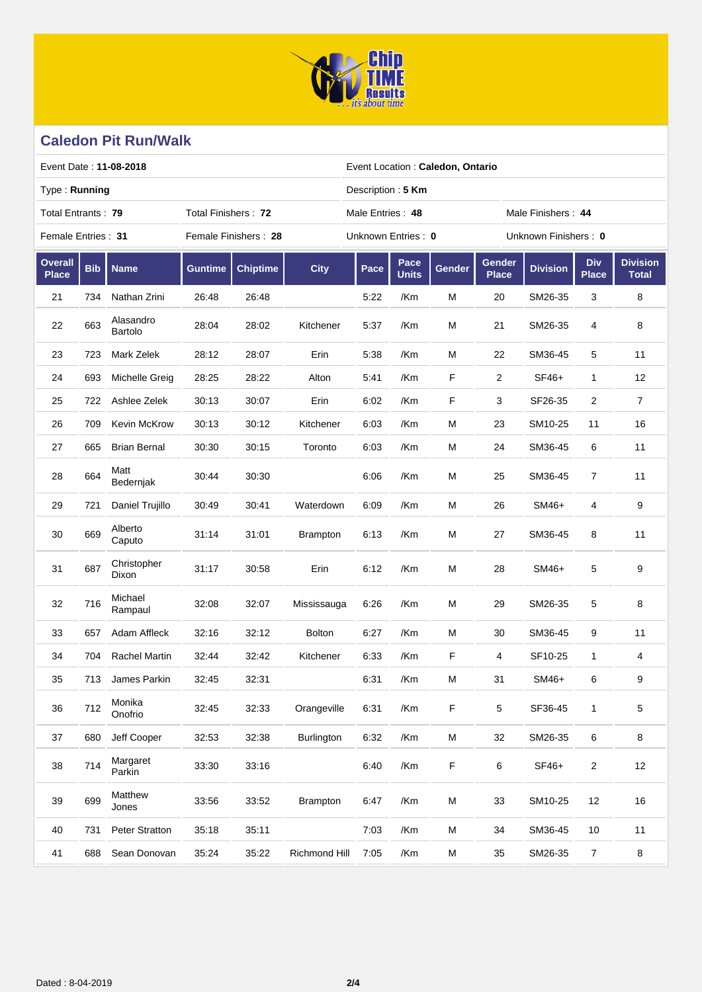

| Event Date: 11-08-2018                    |            |                      |                |                      |                 |                    | Event Location: Caledon, Ontario       |        |                        |                      |                            |                                 |  |  |  |
|-------------------------------------------|------------|----------------------|----------------|----------------------|-----------------|--------------------|----------------------------------------|--------|------------------------|----------------------|----------------------------|---------------------------------|--|--|--|
| Type: Running                             |            |                      |                |                      |                 |                    | Description: 5 Km                      |        |                        |                      |                            |                                 |  |  |  |
| Total Entrants: 79<br>Total Finishers: 72 |            |                      |                |                      |                 |                    | Male Entries: 48<br>Male Finishers: 44 |        |                        |                      |                            |                                 |  |  |  |
| Female Entries: 31                        |            |                      |                | Female Finishers: 28 |                 | Unknown Entries: 0 |                                        |        |                        | Unknown Finishers: 0 |                            |                                 |  |  |  |
| <b>Overall</b><br><b>Place</b>            | <b>Bib</b> | <b>Name</b>          | <b>Guntime</b> | <b>Chiptime</b>      | <b>City</b>     | Pace               | Pace<br><b>Units</b>                   | Gender | Gender<br><b>Place</b> | <b>Division</b>      | <b>Div</b><br><b>Place</b> | <b>Division</b><br><b>Total</b> |  |  |  |
| 21                                        | 734        | Nathan Zrini         | 26:48          | 26:48                |                 | 5:22               | /Km                                    | M      | 20                     | SM26-35              | 3                          | 8                               |  |  |  |
| 22                                        | 663        | Alasandro<br>Bartolo | 28:04          | 28:02                | Kitchener       | 5:37               | /Km                                    | M      | 21                     | SM26-35              | 4                          | 8                               |  |  |  |
| 23                                        | 723        | Mark Zelek           | 28:12          | 28:07                | Erin            | 5:38               | /Km                                    | M      | 22                     | SM36-45              | 5                          | 11                              |  |  |  |
| 24                                        | 693        | Michelle Greig       | 28:25          | 28:22                | Alton           | 5:41               | /Km                                    | F      | 2                      | SF46+                | 1                          | 12                              |  |  |  |
| 25                                        | 722        | Ashlee Zelek         | 30:13          | 30:07                | Erin            | 6:02               | /Km                                    | F      | 3                      | SF26-35              | $\overline{2}$             | $\overline{7}$                  |  |  |  |
| 26                                        | 709        | <b>Kevin McKrow</b>  | 30:13          | 30:12                | Kitchener       | 6:03               | /Km                                    | M      | 23                     | SM10-25              | 11                         | 16                              |  |  |  |
| 27                                        | 665        | <b>Brian Bernal</b>  | 30:30          | 30:15                | Toronto         | 6:03               | /Km                                    | M      | 24                     | SM36-45              | 6                          | 11                              |  |  |  |
| 28                                        | 664        | Matt<br>Bedernjak    | 30:44          | 30:30                |                 | 6:06               | /Km                                    | M      | 25                     | SM36-45              | 7                          | 11                              |  |  |  |
| 29                                        | 721        | Daniel Trujillo      | 30:49          | 30:41                | Waterdown       | 6:09               | /Km                                    | Μ      | 26                     | SM46+                | 4                          | 9                               |  |  |  |
| 30                                        | 669        | Alberto<br>Caputo    | 31:14          | 31:01                | <b>Brampton</b> | 6:13               | /Km                                    | M      | 27                     | SM36-45              | 8                          | 11                              |  |  |  |
| 31                                        | 687        | Christopher<br>Dixon | 31:17          | 30:58                | Erin            | 6:12               | /Km                                    | M      | 28                     | SM46+                | 5                          | 9                               |  |  |  |
| 32                                        | 716        | Michael<br>Rampaul   | 32:08          | 32:07                | Mississauga     | 6:26               | /Km                                    | М      | 29                     | SM26-35              | 5                          | 8                               |  |  |  |
| 33                                        | 657        | Adam Affleck         | 32:16          | 32:12                | <b>Bolton</b>   | 6:27               | /Km                                    | Μ      | 30                     | SM36-45              | 9                          | 11                              |  |  |  |
| 34                                        | 704        | <b>Rachel Martin</b> | 32:44          | 32:42                | Kitchener       | 6:33               | /Km                                    | F      | 4                      | SF10-25              | 1                          | 4                               |  |  |  |
| 35                                        | 713        | James Parkin         | 32:45          | 32:31                |                 | 6:31               | /Km                                    | М      | 31                     | SM46+                | 6                          | 9                               |  |  |  |
| 36                                        | 712        | Monika<br>Onofrio    | 32:45          | 32:33                | Orangeville     | 6:31               | /Km                                    | F      | 5                      | SF36-45              | 1                          | $\mathbf 5$                     |  |  |  |
| 37                                        | 680        | Jeff Cooper          | 32:53          | 32:38                | Burlington      | 6:32               | /Km                                    | М      | 32                     | SM26-35              | 6                          | $\bf 8$                         |  |  |  |
| 38                                        | 714        | Margaret<br>Parkin   | 33:30          | 33:16                |                 | 6:40               | /Km                                    | F      | 6                      | SF46+                | 2                          | 12                              |  |  |  |
| 39                                        | 699        | Matthew<br>Jones     | 33:56          | 33:52                | <b>Brampton</b> | 6:47               | /Km                                    | M      | 33                     | SM10-25              | 12                         | $16\,$                          |  |  |  |
| 40                                        | 731        | Peter Stratton       | 35:18          | 35:11                |                 | 7:03               | /Km                                    | M      | 34                     | SM36-45              | 10                         | 11                              |  |  |  |
| 41                                        | 688        | Sean Donovan         | 35:24          | 35:22                | Richmond Hill   | 7:05               | /Km                                    | М      | 35                     | SM26-35              | $\overline{7}$             | $\bf 8$                         |  |  |  |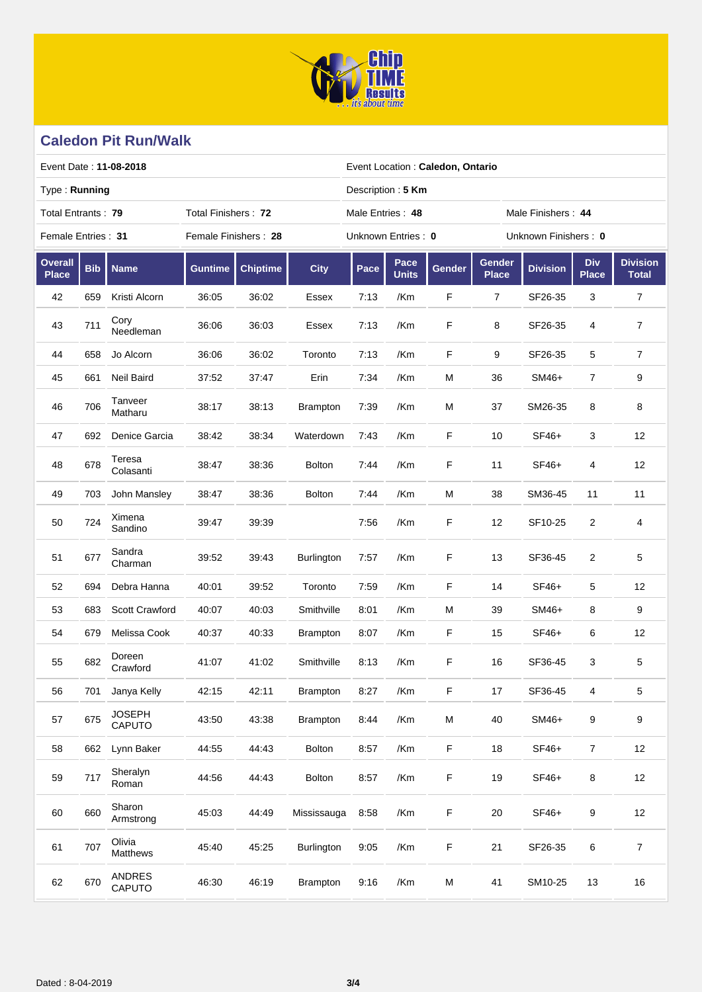

| Event Date: 11-08-2018                    |            |                         |                      |                 |                   |                    | Event Location: Caledon, Ontario       |             |                        |                      |                            |                                 |  |  |  |
|-------------------------------------------|------------|-------------------------|----------------------|-----------------|-------------------|--------------------|----------------------------------------|-------------|------------------------|----------------------|----------------------------|---------------------------------|--|--|--|
| Type: Running                             |            |                         |                      |                 |                   |                    | Description: 5 Km                      |             |                        |                      |                            |                                 |  |  |  |
| Total Entrants: 79<br>Total Finishers: 72 |            |                         |                      |                 |                   |                    | Male Entries: 48<br>Male Finishers: 44 |             |                        |                      |                            |                                 |  |  |  |
| Female Entries: 31                        |            |                         | Female Finishers: 28 |                 |                   | Unknown Entries: 0 |                                        |             |                        | Unknown Finishers: 0 |                            |                                 |  |  |  |
| <b>Overall</b><br><b>Place</b>            | <b>Bib</b> | <b>Name</b>             | <b>Guntime</b>       | <b>Chiptime</b> | <b>City</b>       | Pace               | Pace<br><b>Units</b>                   | Gender      | Gender<br><b>Place</b> | <b>Division</b>      | <b>Div</b><br><b>Place</b> | <b>Division</b><br><b>Total</b> |  |  |  |
| 42                                        | 659        | Kristi Alcorn           | 36:05                | 36:02           | Essex             | 7:13               | /Km                                    | F           | $\overline{7}$         | SF26-35              | 3                          | $\overline{7}$                  |  |  |  |
| 43                                        | 711        | Cory<br>Needleman       | 36:06                | 36:03           | Essex             | 7:13               | /Km                                    | F           | 8                      | SF26-35              | 4                          | $\overline{7}$                  |  |  |  |
| 44                                        | 658        | Jo Alcorn               | 36:06                | 36:02           | Toronto           | 7:13               | /Km                                    | $\mathsf F$ | 9                      | SF26-35              | 5                          | 7                               |  |  |  |
| 45                                        | 661        | Neil Baird              | 37:52                | 37:47           | Erin              | 7:34               | /Km                                    | M           | 36                     | SM46+                | 7                          | 9                               |  |  |  |
| 46                                        | 706        | Tanveer<br>Matharu      | 38:17                | 38:13           | <b>Brampton</b>   | 7:39               | /Km                                    | M           | 37                     | SM26-35              | 8                          | 8                               |  |  |  |
| 47                                        | 692        | Denice Garcia           | 38:42                | 38:34           | Waterdown         | 7:43               | /Km                                    | F           | 10                     | SF46+                | 3                          | 12                              |  |  |  |
| 48                                        | 678        | Teresa<br>Colasanti     | 38:47                | 38:36           | <b>Bolton</b>     | 7:44               | /Km                                    | F           | 11                     | SF46+                | 4                          | 12                              |  |  |  |
| 49                                        | 703        | John Mansley            | 38:47                | 38:36           | <b>Bolton</b>     | 7:44               | /Km                                    | М           | 38                     | SM36-45              | 11                         | 11                              |  |  |  |
| 50                                        | 724        | Ximena<br>Sandino       | 39:47                | 39:39           |                   | 7:56               | /Km                                    | F           | 12                     | SF10-25              | 2                          | 4                               |  |  |  |
| 51                                        | 677        | Sandra<br>Charman       | 39:52                | 39:43           | <b>Burlington</b> | 7:57               | /Km                                    | F           | 13                     | SF36-45              | 2                          | $\mathbf 5$                     |  |  |  |
| 52                                        | 694        | Debra Hanna             | 40:01                | 39:52           | Toronto           | 7:59               | /Km                                    | F           | 14                     | SF46+                | 5                          | 12                              |  |  |  |
| 53                                        | 683        | Scott Crawford          | 40:07                | 40:03           | Smithville        | 8:01               | /Km                                    | М           | 39                     | SM46+                | 8                          | 9                               |  |  |  |
| 54                                        | 679        | Melissa Cook            | 40:37                | 40:33           | <b>Brampton</b>   | 8:07               | /Km                                    | F           | 15                     | SF46+                | 6                          | 12                              |  |  |  |
| 55                                        | 682        | Doreen<br>Crawford      | 41:07                | 41:02           | Smithville        | 8:13               | /Km                                    | F           | 16                     | SF36-45              | 3                          | 5                               |  |  |  |
| 56                                        | 701        | Janya Kelly             | 42:15                | 42:11           | Brampton          | 8:27               | /Km                                    | F           | 17                     | SF36-45              | 4                          | 5                               |  |  |  |
| 57                                        | 675        | <b>JOSEPH</b><br>CAPUTO | 43:50                | 43:38           | Brampton          | 8:44               | /Km                                    | M           | 40                     | SM46+                | 9                          | 9                               |  |  |  |
| 58                                        | 662        | Lynn Baker              | 44:55                | 44:43           | Bolton            | 8:57               | /Km                                    | F           | $18$                   | SF46+                | $\overline{7}$             | 12                              |  |  |  |
| 59                                        | 717        | Sheralyn<br>Roman       | 44:56                | 44:43           | <b>Bolton</b>     | 8:57               | /Km                                    | F           | 19                     | SF46+                | 8                          | 12                              |  |  |  |
| 60                                        | 660        | Sharon<br>Armstrong     | 45:03                | 44:49           | Mississauga       | 8:58               | /Km                                    | F           | $20\,$                 | SF46+                | 9                          | 12                              |  |  |  |
| 61                                        | 707        | Olivia<br>Matthews      | 45:40                | 45:25           | Burlington        | 9:05               | /Km                                    | F           | 21                     | SF26-35              | 6                          | $\overline{7}$                  |  |  |  |
| 62                                        | 670        | <b>ANDRES</b><br>CAPUTO | 46:30                | 46:19           | Brampton          | 9:16               | /Km                                    | М           | 41                     | SM10-25              | 13                         | $16\,$                          |  |  |  |